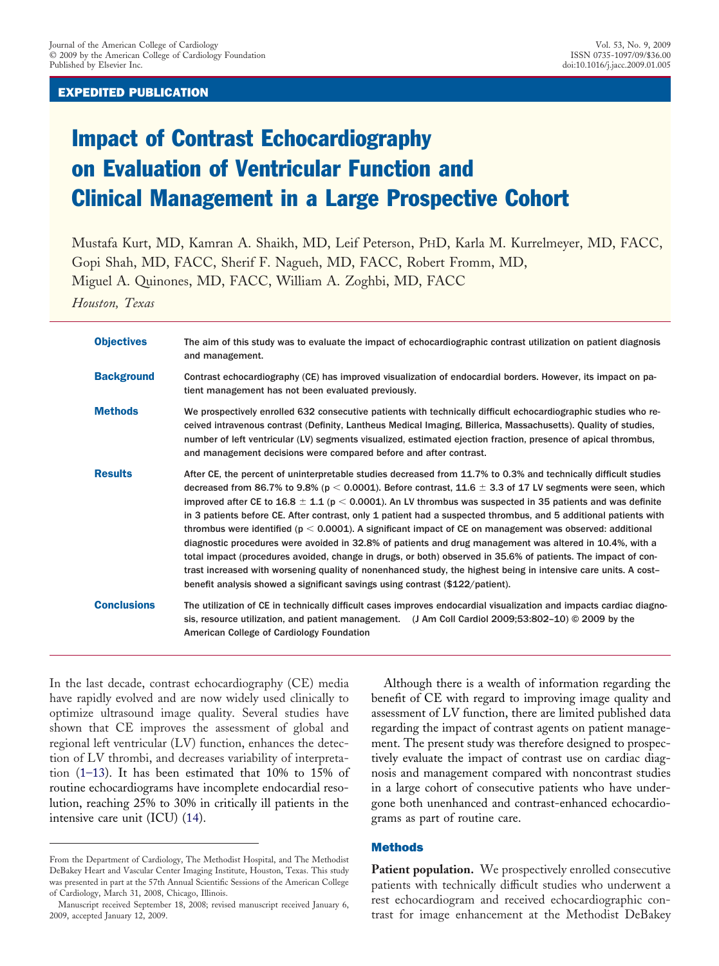#### EXPEDITED PUBLICATION

# Impact of Contrast Echocardiography on Evaluation of Ventricular Function and Clinical Management in a Large Prospective Cohort

Mustafa Kurt, MD, Kamran A. Shaikh, MD, Leif Peterson, PHD, Karla M. Kurrelmeyer, MD, FACC, Gopi Shah, MD, FACC, Sherif F. Nagueh, MD, FACC, Robert Fromm, MD, Miguel A. Quinones, MD, FACC, William A. Zoghbi, MD, FACC

*Houston, Texas*

| <b>Objectives</b>  | The aim of this study was to evaluate the impact of echocardiographic contrast utilization on patient diagnosis<br>and management.                                                                                                                                                                                                                                                                                                                                                                                                                                                                                                                                                                                                                                                                                                                                                                                                                                                                                          |
|--------------------|-----------------------------------------------------------------------------------------------------------------------------------------------------------------------------------------------------------------------------------------------------------------------------------------------------------------------------------------------------------------------------------------------------------------------------------------------------------------------------------------------------------------------------------------------------------------------------------------------------------------------------------------------------------------------------------------------------------------------------------------------------------------------------------------------------------------------------------------------------------------------------------------------------------------------------------------------------------------------------------------------------------------------------|
| <b>Background</b>  | Contrast echocardiography (CE) has improved visualization of endocardial borders. However, its impact on pa-<br>tient management has not been evaluated previously.                                                                                                                                                                                                                                                                                                                                                                                                                                                                                                                                                                                                                                                                                                                                                                                                                                                         |
| <b>Methods</b>     | We prospectively enrolled 632 consecutive patients with technically difficult echocardiographic studies who re-<br>ceived intravenous contrast (Definity, Lantheus Medical Imaging, Billerica, Massachusetts). Quality of studies,<br>number of left ventricular (LV) segments visualized, estimated ejection fraction, presence of apical thrombus,<br>and management decisions were compared before and after contrast.                                                                                                                                                                                                                                                                                                                                                                                                                                                                                                                                                                                                   |
| <b>Results</b>     | After CE, the percent of uninterpretable studies decreased from 11.7% to 0.3% and technically difficult studies<br>decreased from 86.7% to 9.8% (p $<$ 0.0001). Before contrast, 11.6 $\pm$ 3.3 of 17 LV segments were seen, which<br>improved after CE to 16.8 $\pm$ 1.1 (p $<$ 0.0001). An LV thrombus was suspected in 35 patients and was definite<br>in 3 patients before CE. After contrast, only 1 patient had a suspected thrombus, and 5 additional patients with<br>thrombus were identified ( $p < 0.0001$ ). A significant impact of CE on management was observed: additional<br>diagnostic procedures were avoided in 32.8% of patients and drug management was altered in 10.4%, with a<br>total impact (procedures avoided, change in drugs, or both) observed in 35.6% of patients. The impact of con-<br>trast increased with worsening quality of nonenhanced study, the highest being in intensive care units. A cost-<br>benefit analysis showed a significant savings using contrast (\$122/patient). |
| <b>Conclusions</b> | The utilization of CE in technically difficult cases improves endocardial visualization and impacts cardiac diagno-<br>sis, resource utilization, and patient management. (J Am Coll Cardiol 2009;53:802-10) $\circ$ 2009 by the<br>American College of Cardiology Foundation                                                                                                                                                                                                                                                                                                                                                                                                                                                                                                                                                                                                                                                                                                                                               |

In the last decade, contrast echocardiography (CE) media have rapidly evolved and are now widely used clinically to optimize ultrasound image quality. Several studies have shown that CE improves the assessment of global and regional left ventricular (LV) function, enhances the detection of LV thrombi, and decreases variability of interpretation [\(1–13\)](#page-7-0). It has been estimated that 10% to 15% of routine echocardiograms have incomplete endocardial resolution, reaching 25% to 30% in critically ill patients in the intensive care unit (ICU) [\(14\)](#page-8-0).

Although there is a wealth of information regarding the benefit of CE with regard to improving image quality and assessment of LV function, there are limited published data regarding the impact of contrast agents on patient management. The present study was therefore designed to prospectively evaluate the impact of contrast use on cardiac diagnosis and management compared with noncontrast studies in a large cohort of consecutive patients who have undergone both unenhanced and contrast-enhanced echocardiograms as part of routine care.

### Methods

Patient population. We prospectively enrolled consecutive patients with technically difficult studies who underwent a rest echocardiogram and received echocardiographic contrast for image enhancement at the Methodist DeBakey

From the Department of Cardiology, The Methodist Hospital, and The Methodist DeBakey Heart and Vascular Center Imaging Institute, Houston, Texas. This study was presented in part at the 57th Annual Scientific Sessions of the American College of Cardiology, March 31, 2008, Chicago, Illinois.

Manuscript received September 18, 2008; revised manuscript received January 6, 2009, accepted January 12, 2009.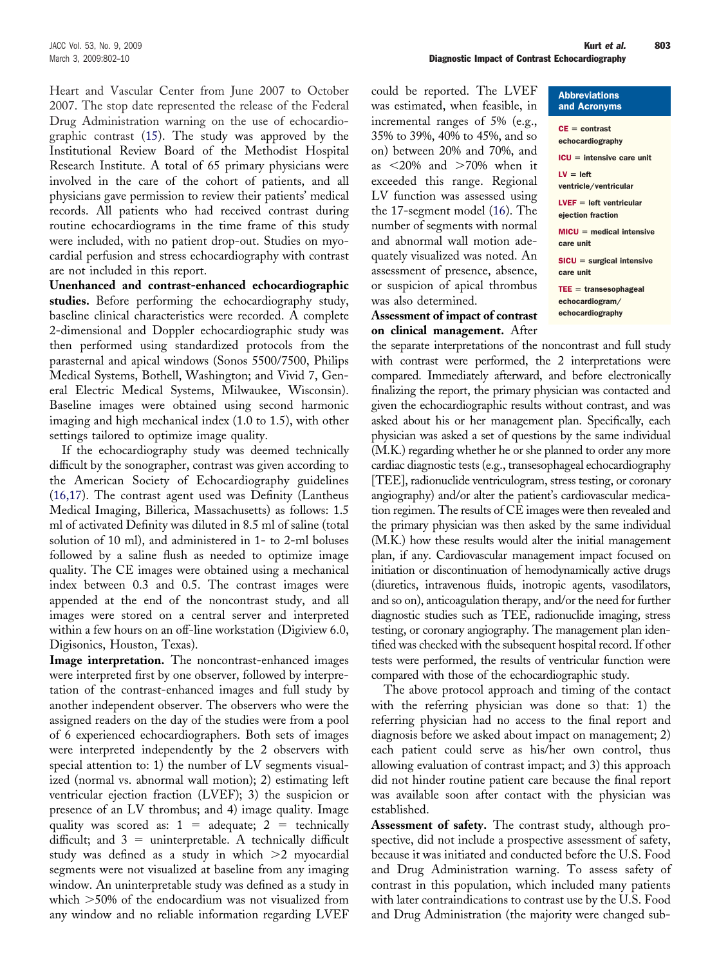Heart and Vascular Center from June 2007 to October 2007. The stop date represented the release of the Federal Drug Administration warning on the use of echocardiographic contrast [\(15\)](#page-8-0). The study was approved by the Institutional Review Board of the Methodist Hospital Research Institute. A total of 65 primary physicians were involved in the care of the cohort of patients, and all physicians gave permission to review their patients' medical records. All patients who had received contrast during routine echocardiograms in the time frame of this study were included, with no patient drop-out. Studies on myocardial perfusion and stress echocardiography with contrast are not included in this report.

**Unenhanced and contrast-enhanced echocardiographic studies.** Before performing the echocardiography study, baseline clinical characteristics were recorded. A complete 2-dimensional and Doppler echocardiographic study was then performed using standardized protocols from the parasternal and apical windows (Sonos 5500/7500, Philips Medical Systems, Bothell, Washington; and Vivid 7, General Electric Medical Systems, Milwaukee, Wisconsin). Baseline images were obtained using second harmonic imaging and high mechanical index (1.0 to 1.5), with other settings tailored to optimize image quality.

If the echocardiography study was deemed technically difficult by the sonographer, contrast was given according to the American Society of Echocardiography guidelines [\(16,17\)](#page-8-0). The contrast agent used was Definity (Lantheus Medical Imaging, Billerica, Massachusetts) as follows: 1.5 ml of activated Definity was diluted in 8.5 ml of saline (total solution of 10 ml), and administered in 1- to 2-ml boluses followed by a saline flush as needed to optimize image quality. The CE images were obtained using a mechanical index between 0.3 and 0.5. The contrast images were appended at the end of the noncontrast study, and all images were stored on a central server and interpreted within a few hours on an off-line workstation (Digiview 6.0, Digisonics, Houston, Texas).

**Image interpretation.** The noncontrast-enhanced images were interpreted first by one observer, followed by interpretation of the contrast-enhanced images and full study by another independent observer. The observers who were the assigned readers on the day of the studies were from a pool of 6 experienced echocardiographers. Both sets of images were interpreted independently by the 2 observers with special attention to: 1) the number of LV segments visualized (normal vs. abnormal wall motion); 2) estimating left ventricular ejection fraction (LVEF); 3) the suspicion or presence of an LV thrombus; and 4) image quality. Image quality was scored as:  $1 =$  adequate;  $2 =$  technically difficult; and  $3 =$  uninterpretable. A technically difficult study was defined as a study in which  $>2$  myocardial segments were not visualized at baseline from any imaging window. An uninterpretable study was defined as a study in which  $>50\%$  of the endocardium was not visualized from any window and no reliable information regarding LVEF

could be reported. The LVEF was estimated, when feasible, in incremental ranges of 5% (e.g., 35% to 39%, 40% to 45%, and so on) between 20% and 70%, and as  $\langle 20\% \rangle$  and  $>70\%$  when it exceeded this range. Regional LV function was assessed using the 17-segment model [\(16\)](#page-8-0). The number of segments with normal and abnormal wall motion adequately visualized was noted. An assessment of presence, absence, or suspicion of apical thrombus was also determined.

**Assessment of impact of contrast on clinical management.** After Abbreviations and Acronyms

```
CE = contrastechocardiography
ICU = intensive care unit
LV = leftventricle/ventricular
LVEF = left ventricular
ejection fraction
MICU = medical intensive
care unit
SICU = \text{surgical intensive}care unit
TEE = transesophagealechocardiogram/
echocardiography
```
the separate interpretations of the noncontrast and full study with contrast were performed, the 2 interpretations were compared. Immediately afterward, and before electronically finalizing the report, the primary physician was contacted and given the echocardiographic results without contrast, and was asked about his or her management plan. Specifically, each physician was asked a set of questions by the same individual (M.K.) regarding whether he or she planned to order any more cardiac diagnostic tests (e.g., transesophageal echocardiography [TEE], radionuclide ventriculogram, stress testing, or coronary angiography) and/or alter the patient's cardiovascular medication regimen. The results of CE images were then revealed and the primary physician was then asked by the same individual (M.K.) how these results would alter the initial management plan, if any. Cardiovascular management impact focused on initiation or discontinuation of hemodynamically active drugs (diuretics, intravenous fluids, inotropic agents, vasodilators, and so on), anticoagulation therapy, and/or the need for further diagnostic studies such as TEE, radionuclide imaging, stress testing, or coronary angiography. The management plan identified was checked with the subsequent hospital record. If other tests were performed, the results of ventricular function were compared with those of the echocardiographic study.

The above protocol approach and timing of the contact with the referring physician was done so that: 1) the referring physician had no access to the final report and diagnosis before we asked about impact on management; 2) each patient could serve as his/her own control, thus allowing evaluation of contrast impact; and 3) this approach did not hinder routine patient care because the final report was available soon after contact with the physician was established.

**Assessment of safety.** The contrast study, although prospective, did not include a prospective assessment of safety, because it was initiated and conducted before the U.S. Food and Drug Administration warning. To assess safety of contrast in this population, which included many patients with later contraindications to contrast use by the U.S. Food and Drug Administration (the majority were changed sub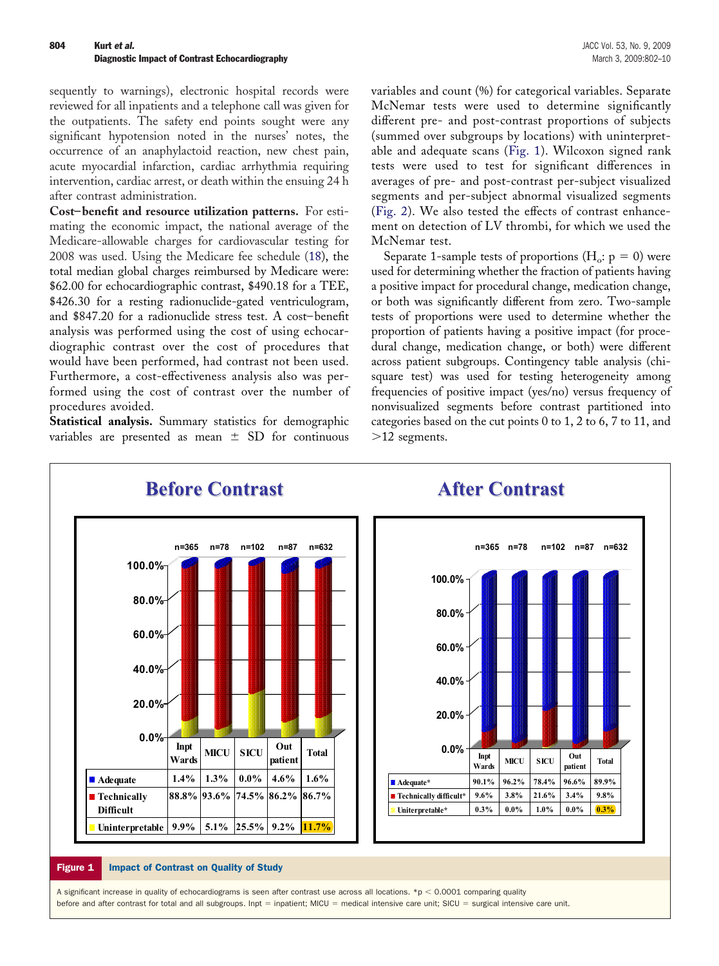<span id="page-2-0"></span>sequently to warnings), electronic hospital records were reviewed for all inpatients and a telephone call was given for the outpatients. The safety end points sought were any significant hypotension noted in the nurses' notes, the occurrence of an anaphylactoid reaction, new chest pain, acute myocardial infarction, cardiac arrhythmia requiring intervention, cardiac arrest, or death within the ensuing 24 h after contrast administration.

**Cost– benefit and resource utilization patterns.** For estimating the economic impact, the national average of the Medicare-allowable charges for cardiovascular testing for 2008 was used. Using the Medicare fee schedule [\(18\)](#page-8-0), the total median global charges reimbursed by Medicare were: \$62.00 for echocardiographic contrast, \$490.18 for a TEE, \$426.30 for a resting radionuclide-gated ventriculogram, and \$847.20 for a radionuclide stress test. A cost–benefit analysis was performed using the cost of using echocardiographic contrast over the cost of procedures that would have been performed, had contrast not been used. Furthermore, a cost-effectiveness analysis also was performed using the cost of contrast over the number of procedures avoided.

**Statistical analysis.** Summary statistics for demographic variables are presented as mean  $\pm$  SD for continuous

variables and count (%) for categorical variables. Separate McNemar tests were used to determine significantly different pre- and post-contrast proportions of subjects (summed over subgroups by locations) with uninterpretable and adequate scans (Fig. 1). Wilcoxon signed rank tests were used to test for significant differences in averages of pre- and post-contrast per-subject visualized segments and per-subject abnormal visualized segments [\(Fig. 2\)](#page-3-0). We also tested the effects of contrast enhancement on detection of LV thrombi, for which we used the McNemar test.

Separate 1-sample tests of proportions ( $H<sub>o</sub>$ :  $p = 0$ ) were used for determining whether the fraction of patients having a positive impact for procedural change, medication change, or both was significantly different from zero. Two-sample tests of proportions were used to determine whether the proportion of patients having a positive impact (for procedural change, medication change, or both) were different across patient subgroups. Contingency table analysis (chisquare test) was used for testing heterogeneity among frequencies of positive impact (yes/no) versus frequency of nonvisualized segments before contrast partitioned into categories based on the cut points 0 to 1, 2 to 6, 7 to 11, and  $>12$  segments.



#### Figure 1 Impact of Contrast on Quality of Study

A significant increase in quality of echocardiograms is seen after contrast use across all locations.  $*p < 0.0001$  comparing quality before and after contrast for total and all subgroups. Inpt = inpatient; MICU = medical intensive care unit; SICU = surgical intensive care unit.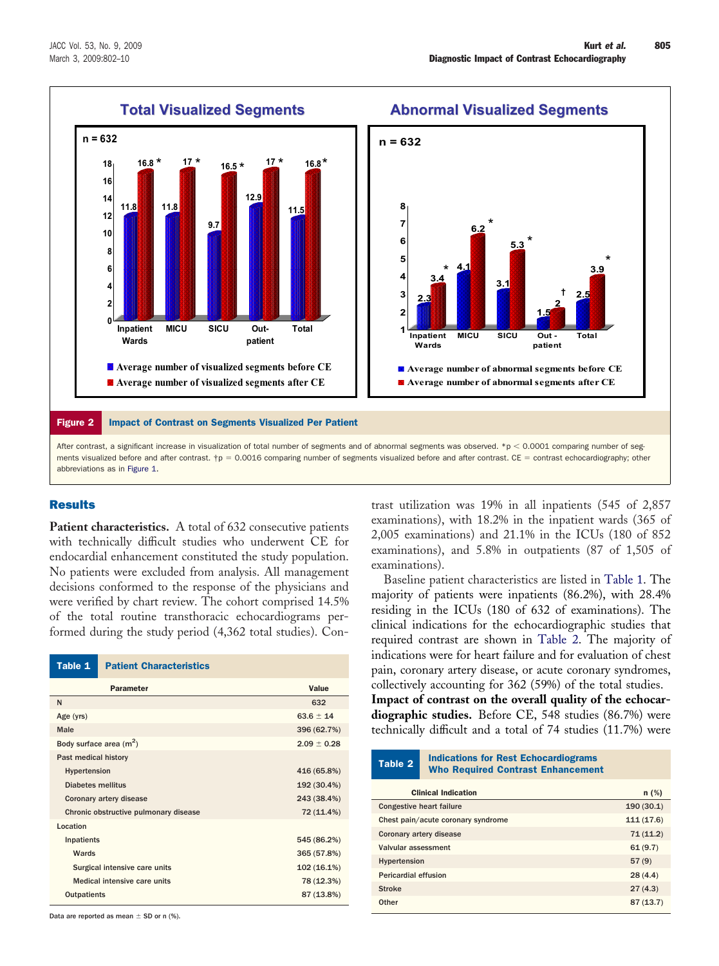<span id="page-3-0"></span>

### Results

Patient characteristics. A total of 632 consecutive patients with technically difficult studies who underwent CE for endocardial enhancement constituted the study population. No patients were excluded from analysis. All management decisions conformed to the response of the physicians and were verified by chart review. The cohort comprised 14.5% of the total routine transthoracic echocardiograms performed during the study period (4,362 total studies). Con-

| Table 1                               | <b>Patient Characteristics</b> |                 |
|---------------------------------------|--------------------------------|-----------------|
| <b>Parameter</b>                      |                                | Value           |
| N                                     |                                | 632             |
| Age (yrs)                             |                                | $63.6 \pm 14$   |
| Male                                  |                                | 396 (62.7%)     |
| Body surface area $(m^2)$             |                                | $2.09 \pm 0.28$ |
| Past medical history                  |                                |                 |
| Hypertension                          |                                | 416 (65.8%)     |
| <b>Diabetes mellitus</b>              |                                | 192 (30.4%)     |
| Coronary artery disease               |                                | 243 (38.4%)     |
| Chronic obstructive pulmonary disease |                                | 72 (11.4%)      |
| Location                              |                                |                 |
| Inpatients                            |                                | 545 (86.2%)     |
| Wards                                 |                                | 365 (57.8%)     |
| Surgical intensive care units         |                                | 102 (16.1%)     |
| Medical intensive care units          |                                | 78 (12.3%)      |
| <b>Outpatients</b>                    |                                | 87 (13.8%)      |

Data are reported as mean  $\pm$  SD or n (%).

trast utilization was 19% in all inpatients (545 of 2,857 examinations), with 18.2% in the inpatient wards (365 of 2,005 examinations) and 21.1% in the ICUs (180 of 852 examinations), and 5.8% in outpatients (87 of 1,505 of examinations).

Baseline patient characteristics are listed in Table 1. The majority of patients were inpatients (86.2%), with 28.4% residing in the ICUs (180 of 632 of examinations). The clinical indications for the echocardiographic studies that required contrast are shown in Table 2. The majority of indications were for heart failure and for evaluation of chest pain, coronary artery disease, or acute coronary syndromes, collectively accounting for 362 (59%) of the total studies. **Impact of contrast on the overall quality of the echocar-**

**diographic studies.** Before CE, 548 studies (86.7%) were technically difficult and a total of 74 studies (11.7%) were

| Table 2                            | <b>Indications for Rest Echocardiograms</b><br><b>Who Required Contrast Enhancement</b> |           |
|------------------------------------|-----------------------------------------------------------------------------------------|-----------|
| <b>Clinical Indication</b>         |                                                                                         | n(%)      |
| <b>Congestive heart failure</b>    |                                                                                         | 190(30.1) |
| Chest pain/acute coronary syndrome |                                                                                         | 111(17.6) |
| Coronary artery disease            |                                                                                         | 71(11.2)  |
| Valvular assessment                |                                                                                         | 61(9.7)   |
| Hypertension                       |                                                                                         | 57(9)     |
| <b>Pericardial effusion</b>        |                                                                                         | 28(4.4)   |
| <b>Stroke</b>                      |                                                                                         | 27(4.3)   |
| Other                              |                                                                                         | 87(13.7)  |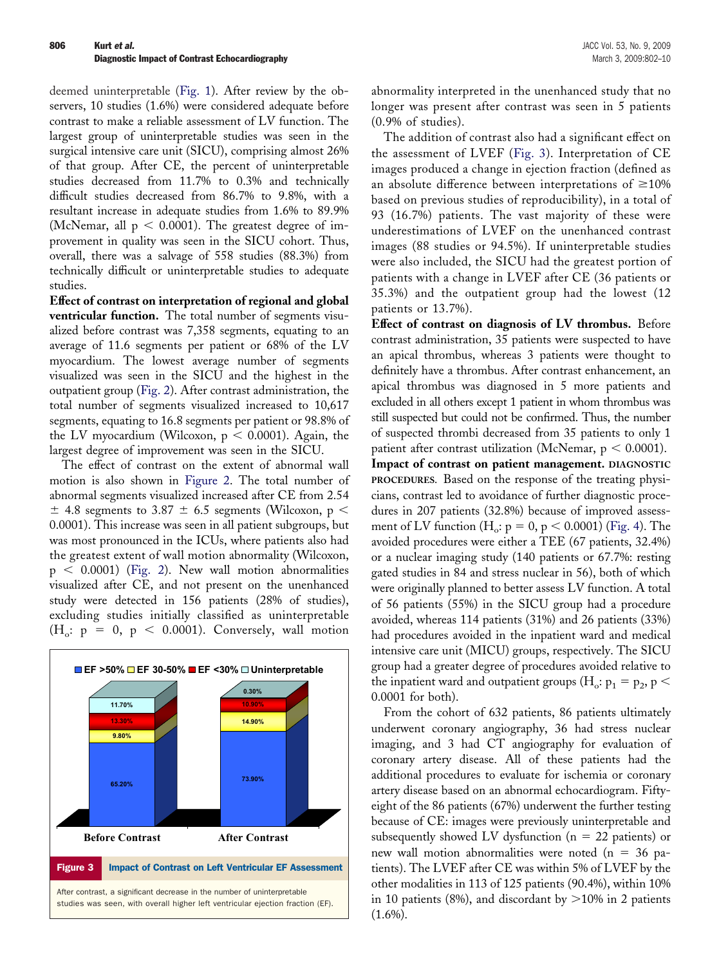deemed uninterpretable [\(Fig. 1\)](#page-2-0). After review by the observers, 10 studies (1.6%) were considered adequate before contrast to make a reliable assessment of LV function. The largest group of uninterpretable studies was seen in the surgical intensive care unit (SICU), comprising almost 26% of that group. After CE, the percent of uninterpretable studies decreased from 11.7% to 0.3% and technically difficult studies decreased from 86.7% to 9.8%, with a resultant increase in adequate studies from 1.6% to 89.9% (McNemar, all  $p < 0.0001$ ). The greatest degree of improvement in quality was seen in the SICU cohort. Thus, overall, there was a salvage of 558 studies (88.3%) from technically difficult or uninterpretable studies to adequate studies.

**Effect of contrast on interpretation of regional and global ventricular function.** The total number of segments visualized before contrast was 7,358 segments, equating to an average of 11.6 segments per patient or 68% of the LV myocardium. The lowest average number of segments visualized was seen in the SICU and the highest in the outpatient group [\(Fig. 2\)](#page-3-0). After contrast administration, the total number of segments visualized increased to 10,617 segments, equating to 16.8 segments per patient or 98.8% of the LV myocardium (Wilcoxon,  $p < 0.0001$ ). Again, the largest degree of improvement was seen in the SICU.

The effect of contrast on the extent of abnormal wall motion is also shown in [Figure 2.](#page-3-0) The total number of abnormal segments visualized increased after CE from 2.54  $\pm$  4.8 segments to 3.87  $\pm$  6.5 segments (Wilcoxon, p < 0.0001). This increase was seen in all patient subgroups, but was most pronounced in the ICUs, where patients also had the greatest extent of wall motion abnormality (Wilcoxon,  $p < 0.0001$ ) [\(Fig. 2\)](#page-3-0). New wall motion abnormalities visualized after CE, and not present on the unenhanced study were detected in 156 patients (28% of studies), excluding studies initially classified as uninterpretable  $(H_o: p = 0, p < 0.0001)$ . Conversely, wall motion



abnormality interpreted in the unenhanced study that no longer was present after contrast was seen in 5 patients (0.9% of studies).

The addition of contrast also had a significant effect on the assessment of LVEF (Fig. 3). Interpretation of CE images produced a change in ejection fraction (defined as an absolute difference between interpretations of  $\geq 10\%$ based on previous studies of reproducibility), in a total of 93 (16.7%) patients. The vast majority of these were underestimations of LVEF on the unenhanced contrast images (88 studies or 94.5%). If uninterpretable studies were also included, the SICU had the greatest portion of patients with a change in LVEF after CE (36 patients or 35.3%) and the outpatient group had the lowest (12 patients or 13.7%).

**Effect of contrast on diagnosis of LV thrombus.** Before contrast administration, 35 patients were suspected to have an apical thrombus, whereas 3 patients were thought to definitely have a thrombus. After contrast enhancement, an apical thrombus was diagnosed in 5 more patients and excluded in all others except 1 patient in whom thrombus was still suspected but could not be confirmed. Thus, the number of suspected thrombi decreased from 35 patients to only 1 patient after contrast utilization (McNemar,  $p < 0.0001$ ).

**Impact of contrast on patient management. DIAGNOSTIC PROCEDURES.** Based on the response of the treating physicians, contrast led to avoidance of further diagnostic procedures in 207 patients (32.8%) because of improved assessment of LV function ( $H_o: p = 0, p < 0.0001$ ) [\(Fig. 4\)](#page-5-0). The avoided procedures were either a TEE (67 patients, 32.4%) or a nuclear imaging study (140 patients or 67.7%: resting gated studies in 84 and stress nuclear in 56), both of which were originally planned to better assess LV function. A total of 56 patients (55%) in the SICU group had a procedure avoided, whereas 114 patients (31%) and 26 patients (33%) had procedures avoided in the inpatient ward and medical intensive care unit (MICU) groups, respectively. The SICU group had a greater degree of procedures avoided relative to the inpatient ward and outpatient groups (H<sub>o</sub>:  $p_1 = p_2$ ,  $p$  < 0.0001 for both).

From the cohort of 632 patients, 86 patients ultimately underwent coronary angiography, 36 had stress nuclear imaging, and 3 had CT angiography for evaluation of coronary artery disease. All of these patients had the additional procedures to evaluate for ischemia or coronary artery disease based on an abnormal echocardiogram. Fiftyeight of the 86 patients (67%) underwent the further testing because of CE: images were previously uninterpretable and subsequently showed LV dysfunction ( $n = 22$  patients) or new wall motion abnormalities were noted ( $n = 36$  patients). The LVEF after CE was within 5% of LVEF by the other modalities in 113 of 125 patients (90.4%), within 10% in 10 patients (8%), and discordant by  $>$  10% in 2 patients  $(1.6\%)$ .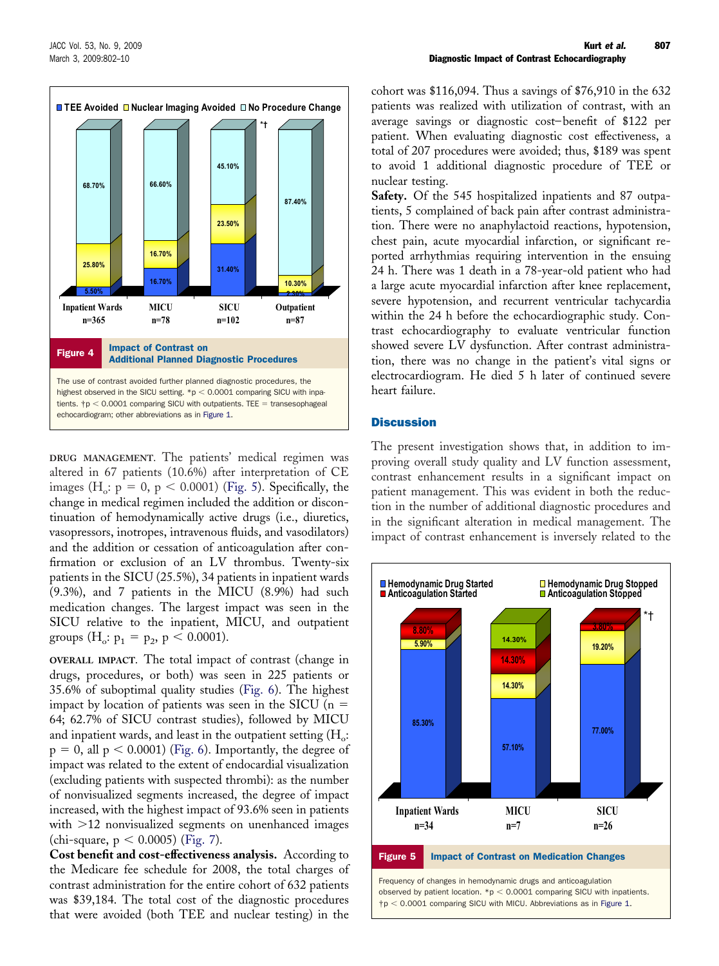<span id="page-5-0"></span>

**DRUG MANAGEMENT.** The patients' medical regimen was altered in 67 patients (10.6%) after interpretation of CE images (H<sub>o</sub>:  $p = 0$ ,  $p < 0.0001$ ) (Fig. 5). Specifically, the change in medical regimen included the addition or discontinuation of hemodynamically active drugs (i.e., diuretics, vasopressors, inotropes, intravenous fluids, and vasodilators) and the addition or cessation of anticoagulation after confirmation or exclusion of an LV thrombus. Twenty-six patients in the SICU (25.5%), 34 patients in inpatient wards (9.3%), and 7 patients in the MICU (8.9%) had such medication changes. The largest impact was seen in the SICU relative to the inpatient, MICU, and outpatient groups (H<sub>o</sub>:  $p_1 = p_2$ ,  $p < 0.0001$ ).

**OVERALL IMPACT.** The total impact of contrast (change in drugs, procedures, or both) was seen in 225 patients or 35.6% of suboptimal quality studies [\(Fig. 6\)](#page-6-0). The highest impact by location of patients was seen in the SICU ( $n =$ 64; 62.7% of SICU contrast studies), followed by MICU and inpatient wards, and least in the outpatient setting  $(H_o:$  $p = 0$ , all  $p < 0.0001$ ) [\(Fig. 6\)](#page-6-0). Importantly, the degree of impact was related to the extent of endocardial visualization (excluding patients with suspected thrombi): as the number of nonvisualized segments increased, the degree of impact increased, with the highest impact of 93.6% seen in patients with  $>12$  nonvisualized segments on unenhanced images (chi-square,  $p < 0.0005$ ) [\(Fig. 7\)](#page-6-0).

**Cost benefit and cost-effectiveness analysis.** According to the Medicare fee schedule for 2008, the total charges of contrast administration for the entire cohort of 632 patients was \$39,184. The total cost of the diagnostic procedures that were avoided (both TEE and nuclear testing) in the

cohort was \$116,094. Thus a savings of \$76,910 in the 632 patients was realized with utilization of contrast, with an average savings or diagnostic cost–benefit of \$122 per patient. When evaluating diagnostic cost effectiveness, a total of 207 procedures were avoided; thus, \$189 was spent to avoid 1 additional diagnostic procedure of TEE or nuclear testing.

**Safety.** Of the 545 hospitalized inpatients and 87 outpatients, 5 complained of back pain after contrast administration. There were no anaphylactoid reactions, hypotension, chest pain, acute myocardial infarction, or significant reported arrhythmias requiring intervention in the ensuing 24 h. There was 1 death in a 78-year-old patient who had a large acute myocardial infarction after knee replacement, severe hypotension, and recurrent ventricular tachycardia within the 24 h before the echocardiographic study. Contrast echocardiography to evaluate ventricular function showed severe LV dysfunction. After contrast administration, there was no change in the patient's vital signs or electrocardiogram. He died 5 h later of continued severe heart failure.

# **Discussion**

The present investigation shows that, in addition to improving overall study quality and LV function assessment, contrast enhancement results in a significant impact on patient management. This was evident in both the reduction in the number of additional diagnostic procedures and in the significant alteration in medical management. The impact of contrast enhancement is inversely related to the

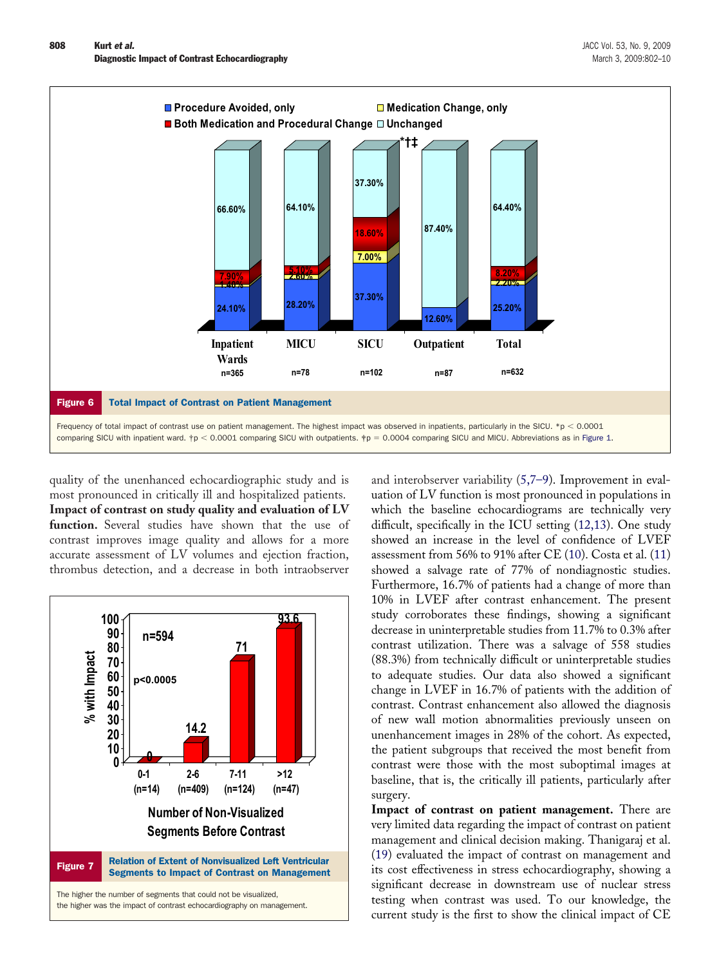<span id="page-6-0"></span>

quality of the unenhanced echocardiographic study and is most pronounced in critically ill and hospitalized patients. **Impact of contrast on study quality and evaluation of LV function.** Several studies have shown that the use of contrast improves image quality and allows for a more accurate assessment of LV volumes and ejection fraction, thrombus detection, and a decrease in both intraobserver



and interobserver variability [\(5,7–9\)](#page-7-0). Improvement in evaluation of LV function is most pronounced in populations in which the baseline echocardiograms are technically very difficult, specifically in the ICU setting [\(12,13\)](#page-8-0). One study showed an increase in the level of confidence of LVEF assessment from 56% to 91% after CE [\(10\)](#page-8-0). Costa et al. [\(11\)](#page-8-0) showed a salvage rate of 77% of nondiagnostic studies. Furthermore, 16.7% of patients had a change of more than 10% in LVEF after contrast enhancement. The present study corroborates these findings, showing a significant decrease in uninterpretable studies from 11.7% to 0.3% after contrast utilization. There was a salvage of 558 studies (88.3%) from technically difficult or uninterpretable studies to adequate studies. Our data also showed a significant change in LVEF in 16.7% of patients with the addition of contrast. Contrast enhancement also allowed the diagnosis of new wall motion abnormalities previously unseen on unenhancement images in 28% of the cohort. As expected, the patient subgroups that received the most benefit from contrast were those with the most suboptimal images at baseline, that is, the critically ill patients, particularly after surgery.

**Impact of contrast on patient management.** There are very limited data regarding the impact of contrast on patient management and clinical decision making. Thanigaraj et al. [\(19\)](#page-8-0) evaluated the impact of contrast on management and its cost effectiveness in stress echocardiography, showing a significant decrease in downstream use of nuclear stress testing when contrast was used. To our knowledge, the current study is the first to show the clinical impact of CE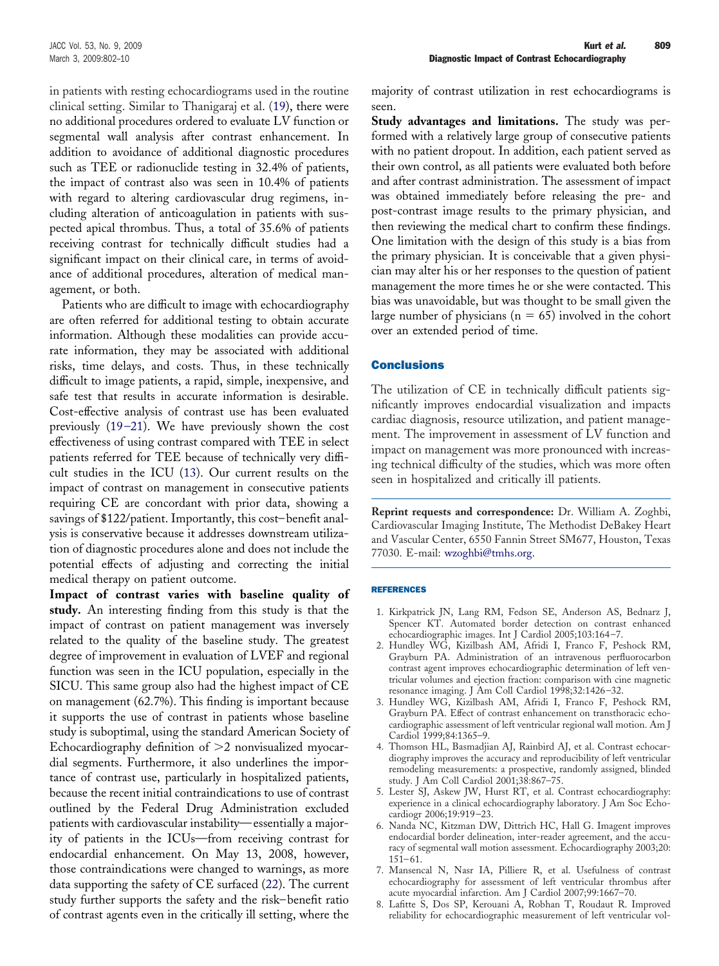<span id="page-7-0"></span>in patients with resting echocardiograms used in the routine clinical setting. Similar to Thanigaraj et al. [\(19\)](#page-8-0), there were no additional procedures ordered to evaluate LV function or segmental wall analysis after contrast enhancement. In addition to avoidance of additional diagnostic procedures such as TEE or radionuclide testing in 32.4% of patients, the impact of contrast also was seen in 10.4% of patients with regard to altering cardiovascular drug regimens, including alteration of anticoagulation in patients with suspected apical thrombus. Thus, a total of 35.6% of patients receiving contrast for technically difficult studies had a significant impact on their clinical care, in terms of avoidance of additional procedures, alteration of medical management, or both.

Patients who are difficult to image with echocardiography are often referred for additional testing to obtain accurate information. Although these modalities can provide accurate information, they may be associated with additional risks, time delays, and costs. Thus, in these technically difficult to image patients, a rapid, simple, inexpensive, and safe test that results in accurate information is desirable. Cost-effective analysis of contrast use has been evaluated previously [\(19–21\)](#page-8-0). We have previously shown the cost effectiveness of using contrast compared with TEE in select patients referred for TEE because of technically very difficult studies in the ICU [\(13\)](#page-8-0). Our current results on the impact of contrast on management in consecutive patients requiring CE are concordant with prior data, showing a savings of \$122/patient. Importantly, this cost–benefit analysis is conservative because it addresses downstream utilization of diagnostic procedures alone and does not include the potential effects of adjusting and correcting the initial medical therapy on patient outcome.

**Impact of contrast varies with baseline quality of study.** An interesting finding from this study is that the impact of contrast on patient management was inversely related to the quality of the baseline study. The greatest degree of improvement in evaluation of LVEF and regional function was seen in the ICU population, especially in the SICU. This same group also had the highest impact of CE on management (62.7%). This finding is important because it supports the use of contrast in patients whose baseline study is suboptimal, using the standard American Society of Echocardiography definition of  $>2$  nonvisualized myocardial segments. Furthermore, it also underlines the importance of contrast use, particularly in hospitalized patients, because the recent initial contraindications to use of contrast outlined by the Federal Drug Administration excluded patients with cardiovascular instability—essentially a majority of patients in the ICUs—from receiving contrast for endocardial enhancement. On May 13, 2008, however, those contraindications were changed to warnings, as more data supporting the safety of CE surfaced [\(22\)](#page-8-0). The current study further supports the safety and the risk–benefit ratio of contrast agents even in the critically ill setting, where the

majority of contrast utilization in rest echocardiograms is seen.

**Study advantages and limitations.** The study was performed with a relatively large group of consecutive patients with no patient dropout. In addition, each patient served as their own control, as all patients were evaluated both before and after contrast administration. The assessment of impact was obtained immediately before releasing the pre- and post-contrast image results to the primary physician, and then reviewing the medical chart to confirm these findings. One limitation with the design of this study is a bias from the primary physician. It is conceivable that a given physician may alter his or her responses to the question of patient management the more times he or she were contacted. This bias was unavoidable, but was thought to be small given the large number of physicians ( $n = 65$ ) involved in the cohort over an extended period of time.

## **Conclusions**

The utilization of CE in technically difficult patients significantly improves endocardial visualization and impacts cardiac diagnosis, resource utilization, and patient management. The improvement in assessment of LV function and impact on management was more pronounced with increasing technical difficulty of the studies, which was more often seen in hospitalized and critically ill patients.

**Reprint requests and correspondence:** Dr. William A. Zoghbi, Cardiovascular Imaging Institute, The Methodist DeBakey Heart and Vascular Center, 6550 Fannin Street SM677, Houston, Texas 77030. E-mail: wzoghbi@tmhs.org.

#### REFERENCES

- 1. Kirkpatrick JN, Lang RM, Fedson SE, Anderson AS, Bednarz J, Spencer KT. Automated border detection on contrast enhanced echocardiographic images. Int J Cardiol 2005;103:164–7.
- 2. Hundley WG, Kizilbash AM, Afridi I, Franco F, Peshock RM, Grayburn PA. Administration of an intravenous perfluorocarbon contrast agent improves echocardiographic determination of left ventricular volumes and ejection fraction: comparison with cine magnetic resonance imaging. J Am Coll Cardiol 1998;32:1426–32.
- 3. Hundley WG, Kizilbash AM, Afridi I, Franco F, Peshock RM, Grayburn PA. Effect of contrast enhancement on transthoracic echocardiographic assessment of left ventricular regional wall motion. Am J Cardiol 1999;84:1365–9.
- 4. Thomson HL, Basmadjian AJ, Rainbird AJ, et al. Contrast echocardiography improves the accuracy and reproducibility of left ventricular remodeling measurements: a prospective, randomly assigned, blinded study. J Am Coll Cardiol 2001;38:867–75.
- 5. Lester SJ, Askew JW, Hurst RT, et al. Contrast echocardiography: experience in a clinical echocardiography laboratory. J Am Soc Echocardiogr 2006;19:919–23.
- 6. Nanda NC, Kitzman DW, Dittrich HC, Hall G. Imagent improves endocardial border delineation, inter-reader agreement, and the accuracy of segmental wall motion assessment. Echocardiography 2003;20:  $151 - 61$ .
- 7. Mansencal N, Nasr IA, Pilliere R, et al. Usefulness of contrast echocardiography for assessment of left ventricular thrombus after acute myocardial infarction. Am J Cardiol 2007;99:1667–70.
- Lafitte S, Dos SP, Kerouani A, Robhan T, Roudaut R. Improved reliability for echocardiographic measurement of left ventricular vol-